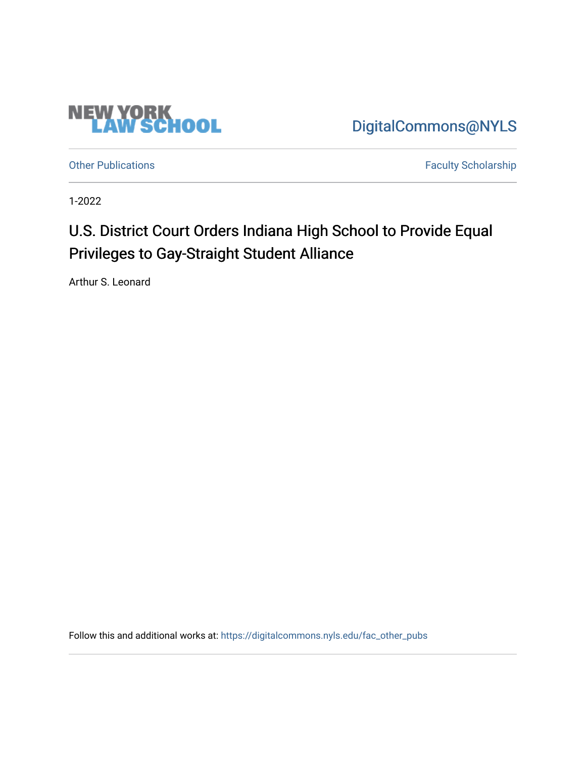

[DigitalCommons@NYLS](https://digitalcommons.nyls.edu/) 

[Other Publications](https://digitalcommons.nyls.edu/fac_other_pubs) **Faculty Scholarship Faculty Scholarship** 

1-2022

## U.S. District Court Orders Indiana High School to Provide Equal Privileges to Gay-Straight Student Alliance

Arthur S. Leonard

Follow this and additional works at: [https://digitalcommons.nyls.edu/fac\\_other\\_pubs](https://digitalcommons.nyls.edu/fac_other_pubs?utm_source=digitalcommons.nyls.edu%2Ffac_other_pubs%2F797&utm_medium=PDF&utm_campaign=PDFCoverPages)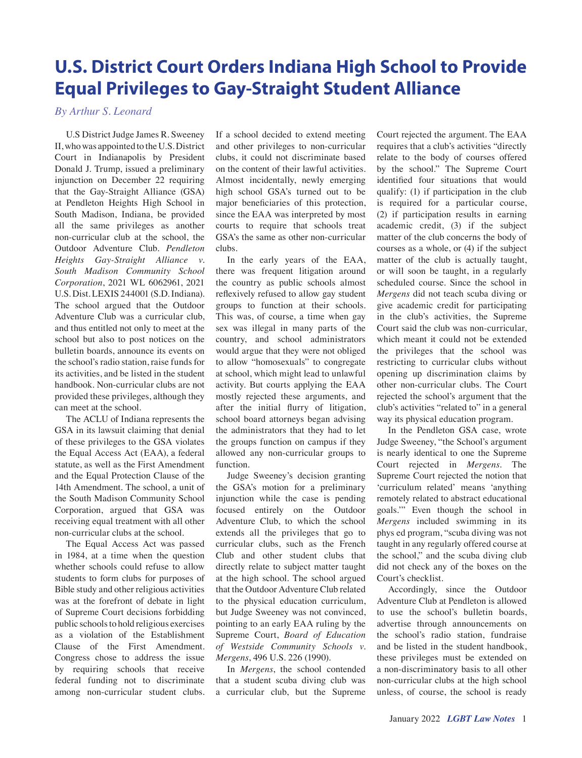## **U.S. District Court Orders Indiana High School to Provide Equal Privileges to Gay-Straight Student Alliance**

*By Arthur S. Leonard*

U.S District Judge James R. Sweeney II, who was appointed to the U.S. District Court in Indianapolis by President Donald J. Trump, issued a preliminary injunction on December 22 requiring that the Gay-Straight Alliance (GSA) at Pendleton Heights High School in South Madison, Indiana, be provided all the same privileges as another non-curricular club at the school, the Outdoor Adventure Club. *Pendleton Heights Gay-Straight Alliance v. South Madison Community School Corporation*, 2021 WL 6062961, 2021 U.S. Dist. LEXIS 244001 (S.D. Indiana). The school argued that the Outdoor Adventure Club was a curricular club, and thus entitled not only to meet at the school but also to post notices on the bulletin boards, announce its events on the school's radio station, raise funds for its activities, and be listed in the student handbook. Non-curricular clubs are not provided these privileges, although they can meet at the school.

The ACLU of Indiana represents the GSA in its lawsuit claiming that denial of these privileges to the GSA violates the Equal Access Act (EAA), a federal statute, as well as the First Amendment and the Equal Protection Clause of the 14th Amendment. The school, a unit of the South Madison Community School Corporation, argued that GSA was receiving equal treatment with all other non-curricular clubs at the school.

The Equal Access Act was passed in 1984, at a time when the question whether schools could refuse to allow students to form clubs for purposes of Bible study and other religious activities was at the forefront of debate in light of Supreme Court decisions forbidding public schools to hold religious exercises as a violation of the Establishment Clause of the First Amendment. Congress chose to address the issue by requiring schools that receive federal funding not to discriminate among non-curricular student clubs.

If a school decided to extend meeting and other privileges to non-curricular clubs, it could not discriminate based on the content of their lawful activities. Almost incidentally, newly emerging high school GSA's turned out to be major beneficiaries of this protection, since the EAA was interpreted by most courts to require that schools treat GSA's the same as other non-curricular clubs.

In the early years of the EAA, there was frequent litigation around the country as public schools almost reflexively refused to allow gay student groups to function at their schools. This was, of course, a time when gay sex was illegal in many parts of the country, and school administrators would argue that they were not obliged to allow "homosexuals" to congregate at school, which might lead to unlawful activity. But courts applying the EAA mostly rejected these arguments, and after the initial flurry of litigation, school board attorneys began advising the administrators that they had to let the groups function on campus if they allowed any non-curricular groups to function.

Judge Sweeney's decision granting the GSA's motion for a preliminary injunction while the case is pending focused entirely on the Outdoor Adventure Club, to which the school extends all the privileges that go to curricular clubs, such as the French Club and other student clubs that directly relate to subject matter taught at the high school. The school argued that the Outdoor Adventure Club related to the physical education curriculum, but Judge Sweeney was not convinced, pointing to an early EAA ruling by the Supreme Court, *Board of Education of Westside Community Schools v. Mergens*, 496 U.S. 226 (1990).

In *Mergens*, the school contended that a student scuba diving club was a curricular club, but the Supreme

Court rejected the argument. The EAA requires that a club's activities "directly relate to the body of courses offered by the school." The Supreme Court identified four situations that would qualify: (1) if participation in the club is required for a particular course, (2) if participation results in earning academic credit, (3) if the subject matter of the club concerns the body of courses as a whole, or (4) if the subject matter of the club is actually taught, or will soon be taught, in a regularly scheduled course. Since the school in *Mergens* did not teach scuba diving or give academic credit for participating in the club's activities, the Supreme Court said the club was non-curricular, which meant it could not be extended the privileges that the school was restricting to curricular clubs without opening up discrimination claims by other non-curricular clubs. The Court rejected the school's argument that the club's activities "related to" in a general way its physical education program.

In the Pendleton GSA case, wrote Judge Sweeney, "the School's argument is nearly identical to one the Supreme Court rejected in *Mergens*. The Supreme Court rejected the notion that 'curriculum related' means 'anything remotely related to abstract educational goals.'" Even though the school in *Mergens* included swimming in its phys ed program, "scuba diving was not taught in any regularly offered course at the school," and the scuba diving club did not check any of the boxes on the Court's checklist.

Accordingly, since the Outdoor Adventure Club at Pendleton is allowed to use the school's bulletin boards, advertise through announcements on the school's radio station, fundraise and be listed in the student handbook, these privileges must be extended on a non-discriminatory basis to all other non-curricular clubs at the high school unless, of course, the school is ready